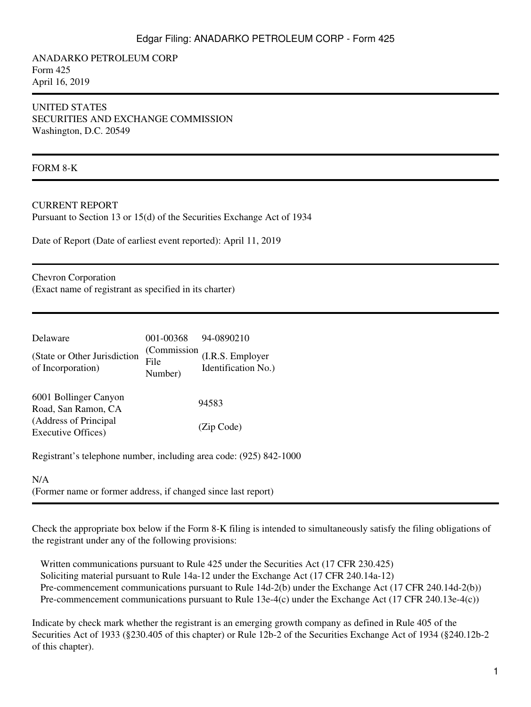ANADARKO PETROLEUM CORP Form 425 April 16, 2019

### UNITED STATES SECURITIES AND EXCHANGE COMMISSION Washington, D.C. 20549

#### FORM 8-K

#### CURRENT REPORT

Pursuant to Section 13 or 15(d) of the Securities Exchange Act of 1934

Date of Report (Date of earliest event reported): April 11, 2019

Chevron Corporation (Exact name of registrant as specified in its charter)

| Delaware                                            | 001-00368                      | 94-0890210                              |
|-----------------------------------------------------|--------------------------------|-----------------------------------------|
| (State or Other Jurisdiction<br>of Incorporation)   | (Commission<br>File<br>Number) | (I.R.S. Employer<br>Identification No.) |
| 6001 Bollinger Canyon<br>Road, San Ramon, CA        |                                | 94583                                   |
| (Address of Principal<br><b>Executive Offices</b> ) |                                | (Zip Code)                              |

Registrant's telephone number, including area code: (925) 842-1000

#### N/A

(Former name or former address, if changed since last report)

Check the appropriate box below if the Form 8-K filing is intended to simultaneously satisfy the filing obligations of the registrant under any of the following provisions:

Written communications pursuant to Rule 425 under the Securities Act (17 CFR 230.425) Soliciting material pursuant to Rule 14a-12 under the Exchange Act (17 CFR 240.14a-12) Pre-commencement communications pursuant to Rule 14d-2(b) under the Exchange Act (17 CFR 240.14d-2(b)) Pre-commencement communications pursuant to Rule 13e-4(c) under the Exchange Act (17 CFR 240.13e-4(c))

Indicate by check mark whether the registrant is an emerging growth company as defined in Rule 405 of the Securities Act of 1933 (§230.405 of this chapter) or Rule 12b-2 of the Securities Exchange Act of 1934 (§240.12b-2 of this chapter).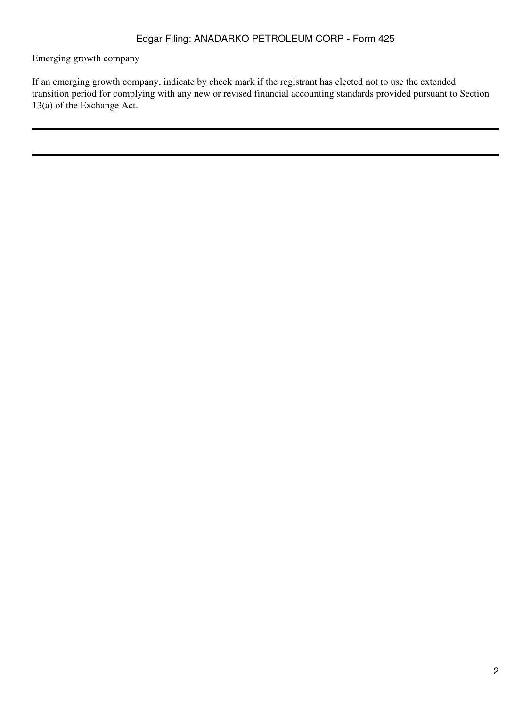Emerging growth company

If an emerging growth company, indicate by check mark if the registrant has elected not to use the extended transition period for complying with any new or revised financial accounting standards provided pursuant to Section 13(a) of the Exchange Act.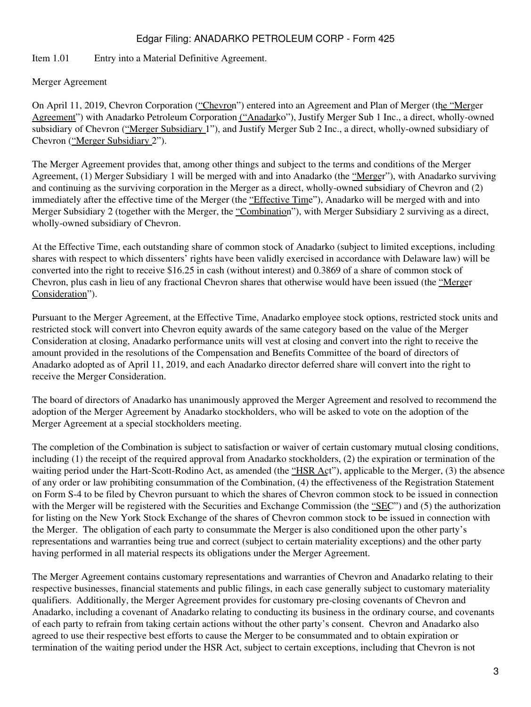### Item 1.01 Entry into a Material Definitive Agreement.

### Merger Agreement

On April 11, 2019, Chevron Corporation ("Chevron") entered into an Agreement and Plan of Merger (the "Merger Agreement") with Anadarko Petroleum Corporation ("Anadarko"), Justify Merger Sub 1 Inc., a direct, wholly-owned subsidiary of Chevron ("Merger Subsidiary 1"), and Justify Merger Sub 2 Inc., a direct, wholly-owned subsidiary of Chevron ("Merger Subsidiary 2").

The Merger Agreement provides that, among other things and subject to the terms and conditions of the Merger Agreement, (1) Merger Subsidiary 1 will be merged with and into Anadarko (the "Merger"), with Anadarko surviving and continuing as the surviving corporation in the Merger as a direct, wholly-owned subsidiary of Chevron and (2) immediately after the effective time of the Merger (the "Effective Time"), Anadarko will be merged with and into Merger Subsidiary 2 (together with the Merger, the "Combination"), with Merger Subsidiary 2 surviving as a direct, wholly-owned subsidiary of Chevron.

At the Effective Time, each outstanding share of common stock of Anadarko (subject to limited exceptions, including shares with respect to which dissenters' rights have been validly exercised in accordance with Delaware law) will be converted into the right to receive \$16.25 in cash (without interest) and 0.3869 of a share of common stock of Chevron, plus cash in lieu of any fractional Chevron shares that otherwise would have been issued (the "Merger Consideration").

Pursuant to the Merger Agreement, at the Effective Time, Anadarko employee stock options, restricted stock units and restricted stock will convert into Chevron equity awards of the same category based on the value of the Merger Consideration at closing, Anadarko performance units will vest at closing and convert into the right to receive the amount provided in the resolutions of the Compensation and Benefits Committee of the board of directors of Anadarko adopted as of April 11, 2019, and each Anadarko director deferred share will convert into the right to receive the Merger Consideration.

The board of directors of Anadarko has unanimously approved the Merger Agreement and resolved to recommend the adoption of the Merger Agreement by Anadarko stockholders, who will be asked to vote on the adoption of the Merger Agreement at a special stockholders meeting.

The completion of the Combination is subject to satisfaction or waiver of certain customary mutual closing conditions, including (1) the receipt of the required approval from Anadarko stockholders, (2) the expiration or termination of the waiting period under the Hart-Scott-Rodino Act, as amended (the "HSR Act"), applicable to the Merger, (3) the absence of any order or law prohibiting consummation of the Combination, (4) the effectiveness of the Registration Statement on Form S-4 to be filed by Chevron pursuant to which the shares of Chevron common stock to be issued in connection with the Merger will be registered with the Securities and Exchange Commission (the "SEC") and (5) the authorization for listing on the New York Stock Exchange of the shares of Chevron common stock to be issued in connection with the Merger. The obligation of each party to consummate the Merger is also conditioned upon the other party's representations and warranties being true and correct (subject to certain materiality exceptions) and the other party having performed in all material respects its obligations under the Merger Agreement.

The Merger Agreement contains customary representations and warranties of Chevron and Anadarko relating to their respective businesses, financial statements and public filings, in each case generally subject to customary materiality qualifiers. Additionally, the Merger Agreement provides for customary pre-closing covenants of Chevron and Anadarko, including a covenant of Anadarko relating to conducting its business in the ordinary course, and covenants of each party to refrain from taking certain actions without the other party's consent. Chevron and Anadarko also agreed to use their respective best efforts to cause the Merger to be consummated and to obtain expiration or termination of the waiting period under the HSR Act, subject to certain exceptions, including that Chevron is not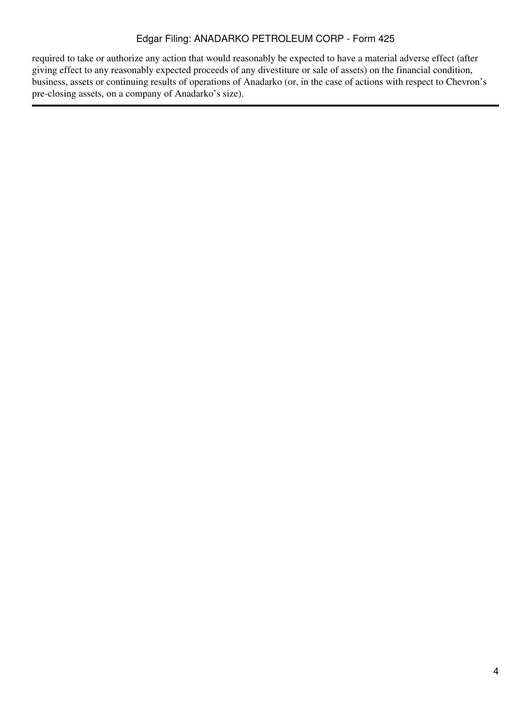required to take or authorize any action that would reasonably be expected to have a material adverse effect (after giving effect to any reasonably expected proceeds of any divestiture or sale of assets) on the financial condition, business, assets or continuing results of operations of Anadarko (or, in the case of actions with respect to Chevron's pre-closing assets, on a company of Anadarko's size).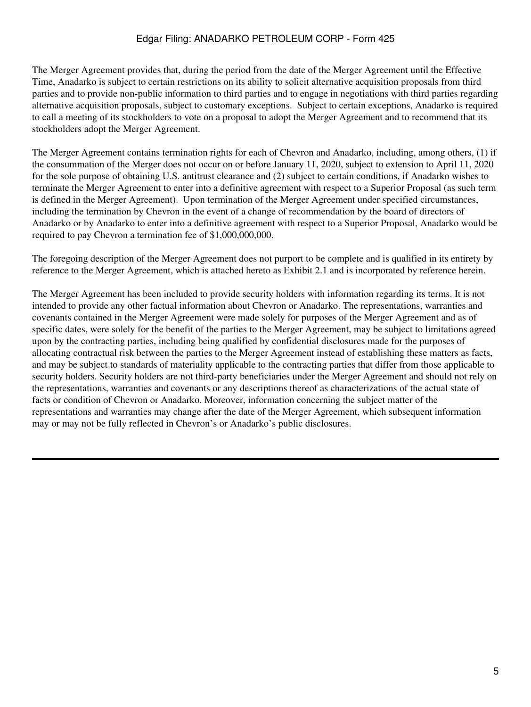The Merger Agreement provides that, during the period from the date of the Merger Agreement until the Effective Time, Anadarko is subject to certain restrictions on its ability to solicit alternative acquisition proposals from third parties and to provide non-public information to third parties and to engage in negotiations with third parties regarding alternative acquisition proposals, subject to customary exceptions. Subject to certain exceptions, Anadarko is required to call a meeting of its stockholders to vote on a proposal to adopt the Merger Agreement and to recommend that its stockholders adopt the Merger Agreement.

The Merger Agreement contains termination rights for each of Chevron and Anadarko, including, among others, (1) if the consummation of the Merger does not occur on or before January 11, 2020, subject to extension to April 11, 2020 for the sole purpose of obtaining U.S. antitrust clearance and (2) subject to certain conditions, if Anadarko wishes to terminate the Merger Agreement to enter into a definitive agreement with respect to a Superior Proposal (as such term is defined in the Merger Agreement). Upon termination of the Merger Agreement under specified circumstances, including the termination by Chevron in the event of a change of recommendation by the board of directors of Anadarko or by Anadarko to enter into a definitive agreement with respect to a Superior Proposal, Anadarko would be required to pay Chevron a termination fee of \$1,000,000,000.

The foregoing description of the Merger Agreement does not purport to be complete and is qualified in its entirety by reference to the Merger Agreement, which is attached hereto as Exhibit 2.1 and is incorporated by reference herein.

The Merger Agreement has been included to provide security holders with information regarding its terms. It is not intended to provide any other factual information about Chevron or Anadarko. The representations, warranties and covenants contained in the Merger Agreement were made solely for purposes of the Merger Agreement and as of specific dates, were solely for the benefit of the parties to the Merger Agreement, may be subject to limitations agreed upon by the contracting parties, including being qualified by confidential disclosures made for the purposes of allocating contractual risk between the parties to the Merger Agreement instead of establishing these matters as facts, and may be subject to standards of materiality applicable to the contracting parties that differ from those applicable to security holders. Security holders are not third-party beneficiaries under the Merger Agreement and should not rely on the representations, warranties and covenants or any descriptions thereof as characterizations of the actual state of facts or condition of Chevron or Anadarko. Moreover, information concerning the subject matter of the representations and warranties may change after the date of the Merger Agreement, which subsequent information may or may not be fully reflected in Chevron's or Anadarko's public disclosures.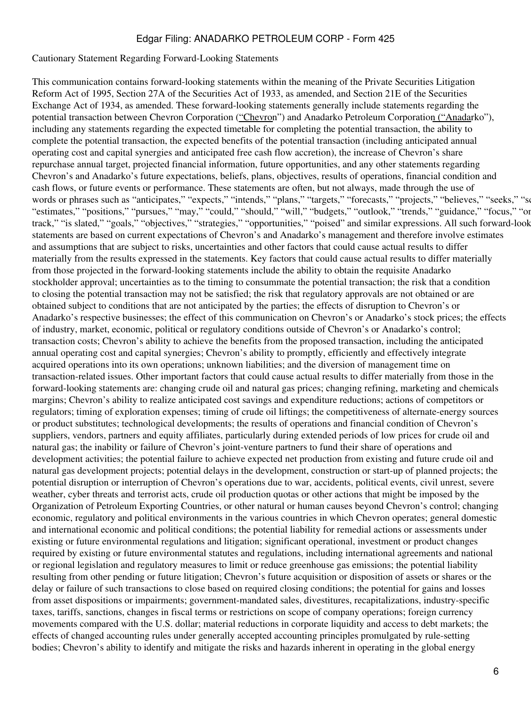#### Cautionary Statement Regarding Forward-Looking Statements

This communication contains forward-looking statements within the meaning of the Private Securities Litigation Reform Act of 1995, Section 27A of the Securities Act of 1933, as amended, and Section 21E of the Securities Exchange Act of 1934, as amended. These forward-looking statements generally include statements regarding the potential transaction between Chevron Corporation ("Chevron") and Anadarko Petroleum Corporation ("Anadarko"), including any statements regarding the expected timetable for completing the potential transaction, the ability to complete the potential transaction, the expected benefits of the potential transaction (including anticipated annual operating cost and capital synergies and anticipated free cash flow accretion), the increase of Chevron's share repurchase annual target, projected financial information, future opportunities, and any other statements regarding Chevron's and Anadarko's future expectations, beliefs, plans, objectives, results of operations, financial condition and cash flows, or future events or performance. These statements are often, but not always, made through the use of words or phrases such as "anticipates," "expects," "intends," "plans," "targets," "forecasts," "projects," "believes," "seeks," "se "estimates," "positions," "pursues," "may," "could," "should," "will," "budgets," "outlook," "trends," "guidance," "focus," "on track," "is slated," "goals," "objectives," "strategies," "opportunities," "poised" and similar expressions. All such forward-look statements are based on current expectations of Chevron's and Anadarko's management and therefore involve estimates and assumptions that are subject to risks, uncertainties and other factors that could cause actual results to differ materially from the results expressed in the statements. Key factors that could cause actual results to differ materially from those projected in the forward-looking statements include the ability to obtain the requisite Anadarko stockholder approval; uncertainties as to the timing to consummate the potential transaction; the risk that a condition to closing the potential transaction may not be satisfied; the risk that regulatory approvals are not obtained or are obtained subject to conditions that are not anticipated by the parties; the effects of disruption to Chevron's or Anadarko's respective businesses; the effect of this communication on Chevron's or Anadarko's stock prices; the effects of industry, market, economic, political or regulatory conditions outside of Chevron's or Anadarko's control; transaction costs; Chevron's ability to achieve the benefits from the proposed transaction, including the anticipated annual operating cost and capital synergies; Chevron's ability to promptly, efficiently and effectively integrate acquired operations into its own operations; unknown liabilities; and the diversion of management time on transaction-related issues. Other important factors that could cause actual results to differ materially from those in the forward-looking statements are: changing crude oil and natural gas prices; changing refining, marketing and chemicals margins; Chevron's ability to realize anticipated cost savings and expenditure reductions; actions of competitors or regulators; timing of exploration expenses; timing of crude oil liftings; the competitiveness of alternate-energy sources or product substitutes; technological developments; the results of operations and financial condition of Chevron's suppliers, vendors, partners and equity affiliates, particularly during extended periods of low prices for crude oil and natural gas; the inability or failure of Chevron's joint-venture partners to fund their share of operations and development activities; the potential failure to achieve expected net production from existing and future crude oil and natural gas development projects; potential delays in the development, construction or start-up of planned projects; the potential disruption or interruption of Chevron's operations due to war, accidents, political events, civil unrest, severe weather, cyber threats and terrorist acts, crude oil production quotas or other actions that might be imposed by the Organization of Petroleum Exporting Countries, or other natural or human causes beyond Chevron's control; changing economic, regulatory and political environments in the various countries in which Chevron operates; general domestic and international economic and political conditions; the potential liability for remedial actions or assessments under existing or future environmental regulations and litigation; significant operational, investment or product changes required by existing or future environmental statutes and regulations, including international agreements and national or regional legislation and regulatory measures to limit or reduce greenhouse gas emissions; the potential liability resulting from other pending or future litigation; Chevron's future acquisition or disposition of assets or shares or the delay or failure of such transactions to close based on required closing conditions; the potential for gains and losses from asset dispositions or impairments; government-mandated sales, divestitures, recapitalizations, industry-specific taxes, tariffs, sanctions, changes in fiscal terms or restrictions on scope of company operations; foreign currency movements compared with the U.S. dollar; material reductions in corporate liquidity and access to debt markets; the effects of changed accounting rules under generally accepted accounting principles promulgated by rule-setting bodies; Chevron's ability to identify and mitigate the risks and hazards inherent in operating in the global energy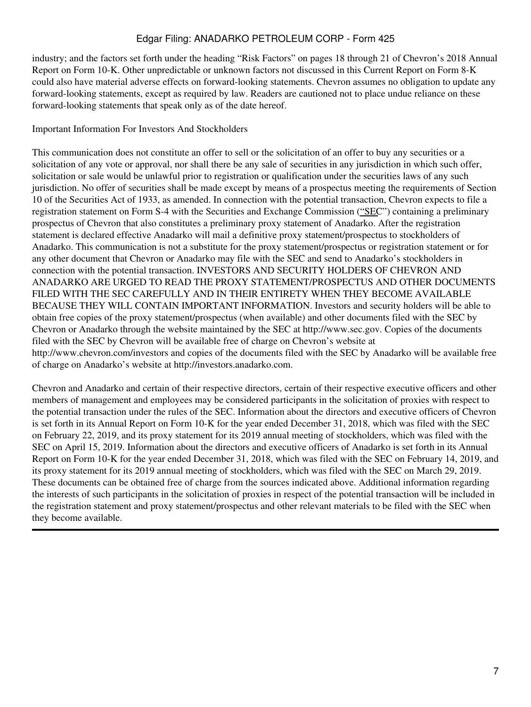industry; and the factors set forth under the heading "Risk Factors" on pages 18 through 21 of Chevron's 2018 Annual Report on Form 10-K. Other unpredictable or unknown factors not discussed in this Current Report on Form 8-K could also have material adverse effects on forward-looking statements. Chevron assumes no obligation to update any forward-looking statements, except as required by law. Readers are cautioned not to place undue reliance on these forward-looking statements that speak only as of the date hereof.

### Important Information For Investors And Stockholders

This communication does not constitute an offer to sell or the solicitation of an offer to buy any securities or a solicitation of any vote or approval, nor shall there be any sale of securities in any jurisdiction in which such offer, solicitation or sale would be unlawful prior to registration or qualification under the securities laws of any such jurisdiction. No offer of securities shall be made except by means of a prospectus meeting the requirements of Section 10 of the Securities Act of 1933, as amended. In connection with the potential transaction, Chevron expects to file a registration statement on Form S-4 with the Securities and Exchange Commission ("SEC") containing a preliminary prospectus of Chevron that also constitutes a preliminary proxy statement of Anadarko. After the registration statement is declared effective Anadarko will mail a definitive proxy statement/prospectus to stockholders of Anadarko. This communication is not a substitute for the proxy statement/prospectus or registration statement or for any other document that Chevron or Anadarko may file with the SEC and send to Anadarko's stockholders in connection with the potential transaction. INVESTORS AND SECURITY HOLDERS OF CHEVRON AND ANADARKO ARE URGED TO READ THE PROXY STATEMENT/PROSPECTUS AND OTHER DOCUMENTS FILED WITH THE SEC CAREFULLY AND IN THEIR ENTIRETY WHEN THEY BECOME AVAILABLE BECAUSE THEY WILL CONTAIN IMPORTANT INFORMATION. Investors and security holders will be able to obtain free copies of the proxy statement/prospectus (when available) and other documents filed with the SEC by Chevron or Anadarko through the website maintained by the SEC at http://www.sec.gov. Copies of the documents filed with the SEC by Chevron will be available free of charge on Chevron's website at http://www.chevron.com/investors and copies of the documents filed with the SEC by Anadarko will be available free of charge on Anadarko's website at http://investors.anadarko.com.

Chevron and Anadarko and certain of their respective directors, certain of their respective executive officers and other members of management and employees may be considered participants in the solicitation of proxies with respect to the potential transaction under the rules of the SEC. Information about the directors and executive officers of Chevron is set forth in its Annual Report on Form 10-K for the year ended December 31, 2018, which was filed with the SEC on February 22, 2019, and its proxy statement for its 2019 annual meeting of stockholders, which was filed with the SEC on April 15, 2019. Information about the directors and executive officers of Anadarko is set forth in its Annual Report on Form 10-K for the year ended December 31, 2018, which was filed with the SEC on February 14, 2019, and its proxy statement for its 2019 annual meeting of stockholders, which was filed with the SEC on March 29, 2019. These documents can be obtained free of charge from the sources indicated above. Additional information regarding the interests of such participants in the solicitation of proxies in respect of the potential transaction will be included in the registration statement and proxy statement/prospectus and other relevant materials to be filed with the SEC when they become available.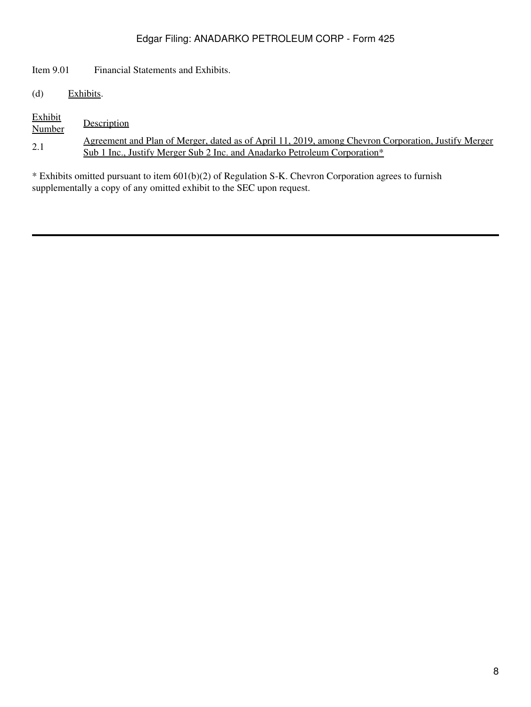Item 9.01 Financial Statements and Exhibits.

(d) Exhibits.

| <b>Exhibit</b><br>Number | Description                                                                                         |
|--------------------------|-----------------------------------------------------------------------------------------------------|
| 2.1                      | Agreement and Plan of Merger, dated as of April 11, 2019, among Chevron Corporation, Justify Merger |
|                          | Sub 1 Inc., Justify Merger Sub 2 Inc. and Anadarko Petroleum Corporation*                           |

\* Exhibits omitted pursuant to item 601(b)(2) of Regulation S-K. Chevron Corporation agrees to furnish supplementally a copy of any omitted exhibit to the SEC upon request.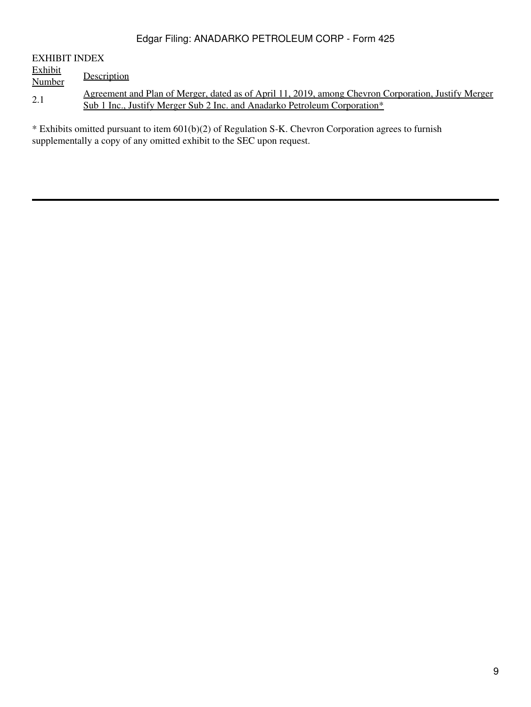| EXHIBIT INDEX  |                                                                                                            |
|----------------|------------------------------------------------------------------------------------------------------------|
| <u>Exhibit</u> |                                                                                                            |
| Number         | Description                                                                                                |
| 2.1            | <u>Agreement and Plan of Merger, dated as of April 11, 2019, among Chevron Corporation, Justify Merger</u> |
|                | <u>Sub 1 Inc., Justify Merger Sub 2 Inc. and Anadarko Petroleum Corporation*</u>                           |
|                |                                                                                                            |

\* Exhibits omitted pursuant to item 601(b)(2) of Regulation S-K. Chevron Corporation agrees to furnish supplementally a copy of any omitted exhibit to the SEC upon request.